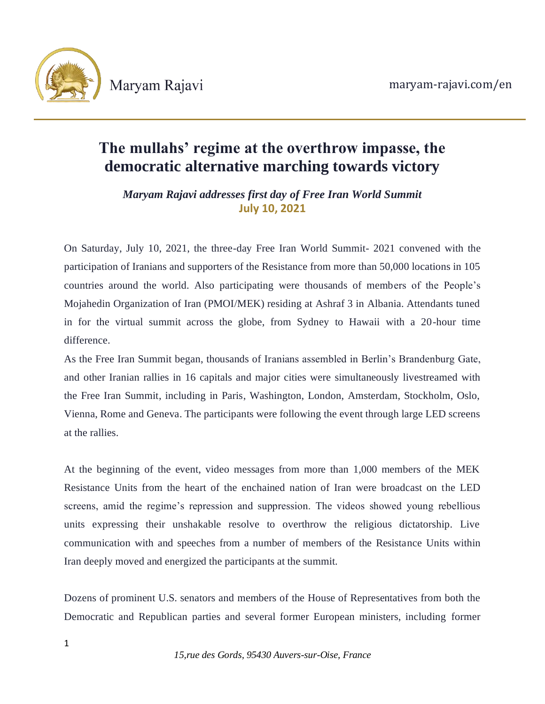

# **The mullahs' regime at the overthrow impasse, the democratic alternative marching towards victory**

*Maryam Rajavi addresses first day of Free Iran World Summit* **July 10, 2021**

On Saturday, July 10, 2021, the three-day Free Iran World Summit- 2021 convened with the participation of Iranians and supporters of the Resistance from more than 50,000 locations in 105 countries around the world. Also participating were thousands of members of the People's Mojahedin Organization of Iran (PMOI/MEK) residing at Ashraf 3 in Albania. Attendants tuned in for the virtual summit across the globe, from Sydney to Hawaii with a 20-hour time difference.

As the Free Iran Summit began, thousands of Iranians assembled in Berlin's Brandenburg Gate, and other Iranian rallies in 16 capitals and major cities were simultaneously livestreamed with the Free Iran Summit, including in Paris, Washington, London, Amsterdam, Stockholm, Oslo, Vienna, Rome and Geneva. The participants were following the event through large LED screens at the rallies.

At the beginning of the event, video messages from more than 1,000 members of the MEK Resistance Units from the heart of the enchained nation of Iran were broadcast on the LED screens, amid the regime's repression and suppression. The videos showed young rebellious units expressing their unshakable resolve to overthrow the religious dictatorship. Live communication with and speeches from a number of members of the Resistance Units within Iran deeply moved and energized the participants at the summit.

Dozens of prominent U.S. senators and members of the House of Representatives from both the Democratic and Republican parties and several former European ministers, including former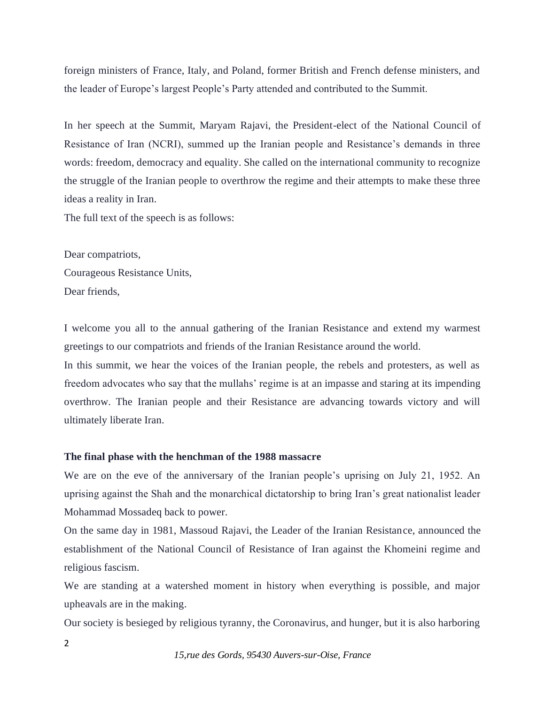foreign ministers of France, Italy, and Poland, former British and French defense ministers, and the leader of Europe's largest People's Party attended and contributed to the Summit.

In her speech at the Summit, Maryam Rajavi, the President-elect of the National Council of Resistance of Iran (NCRI), summed up the Iranian people and Resistance's demands in three words: freedom, democracy and equality. She called on the international community to recognize the struggle of the Iranian people to overthrow the regime and their attempts to make these three ideas a reality in Iran.

The full text of the speech is as follows:

Dear compatriots, Courageous Resistance Units, Dear friends,

I welcome you all to the annual gathering of the Iranian Resistance and extend my warmest greetings to our compatriots and friends of the Iranian Resistance around the world.

In this summit, we hear the voices of the Iranian people, the rebels and protesters, as well as freedom advocates who say that the mullahs' regime is at an impasse and staring at its impending overthrow. The Iranian people and their Resistance are advancing towards victory and will ultimately liberate Iran.

## **The final phase with the henchman of the 1988 massacre**

We are on the eve of the anniversary of the Iranian people's uprising on July 21, 1952. An uprising against the Shah and the monarchical dictatorship to bring Iran's great nationalist leader Mohammad Mossadeq back to power.

On the same day in 1981, Massoud Rajavi, the Leader of the Iranian Resistance, announced the establishment of the National Council of Resistance of Iran against the Khomeini regime and religious fascism.

We are standing at a watershed moment in history when everything is possible, and major upheavals are in the making.

Our society is besieged by religious tyranny, the Coronavirus, and hunger, but it is also harboring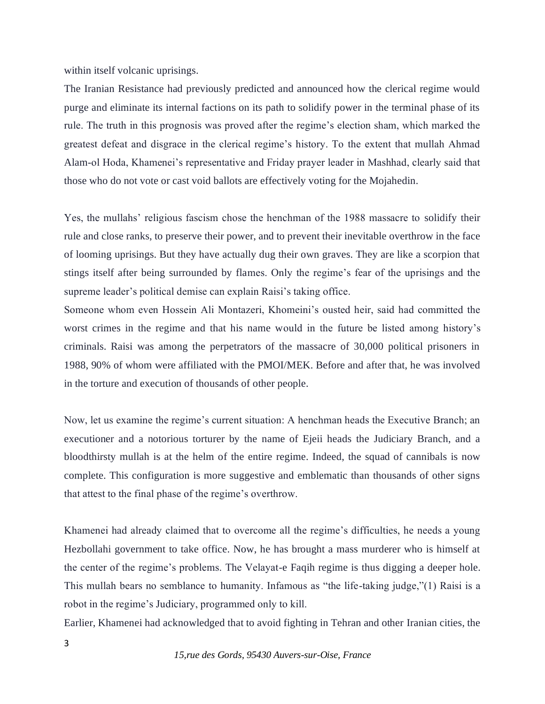within itself volcanic uprisings.

The Iranian Resistance had previously predicted and announced how the clerical regime would purge and eliminate its internal factions on its path to solidify power in the terminal phase of its rule. The truth in this prognosis was proved after the regime's election sham, which marked the greatest defeat and disgrace in the clerical regime's history. To the extent that mullah Ahmad Alam-ol Hoda, Khamenei's representative and Friday prayer leader in Mashhad, clearly said that those who do not vote or cast void ballots are effectively voting for the Mojahedin.

Yes, the mullahs' religious fascism chose the henchman of the 1988 massacre to solidify their rule and close ranks, to preserve their power, and to prevent their inevitable overthrow in the face of looming uprisings. But they have actually dug their own graves. They are like a scorpion that stings itself after being surrounded by flames. Only the regime's fear of the uprisings and the supreme leader's political demise can explain Raisi's taking office.

Someone whom even Hossein Ali Montazeri, Khomeini's ousted heir, said had committed the worst crimes in the regime and that his name would in the future be listed among history's criminals. Raisi was among the perpetrators of the massacre of 30,000 political prisoners in 1988, 90% of whom were affiliated with the PMOI/MEK. Before and after that, he was involved in the torture and execution of thousands of other people.

Now, let us examine the regime's current situation: A henchman heads the Executive Branch; an executioner and a notorious torturer by the name of Ejeii heads the Judiciary Branch, and a bloodthirsty mullah is at the helm of the entire regime. Indeed, the squad of cannibals is now complete. This configuration is more suggestive and emblematic than thousands of other signs that attest to the final phase of the regime's overthrow.

Khamenei had already claimed that to overcome all the regime's difficulties, he needs a young Hezbollahi government to take office. Now, he has brought a mass murderer who is himself at the center of the regime's problems. The Velayat-e Faqih regime is thus digging a deeper hole. This mullah bears no semblance to humanity. Infamous as "the life-taking judge,"(1) Raisi is a robot in the regime's Judiciary, programmed only to kill.

Earlier, Khamenei had acknowledged that to avoid fighting in Tehran and other Iranian cities, the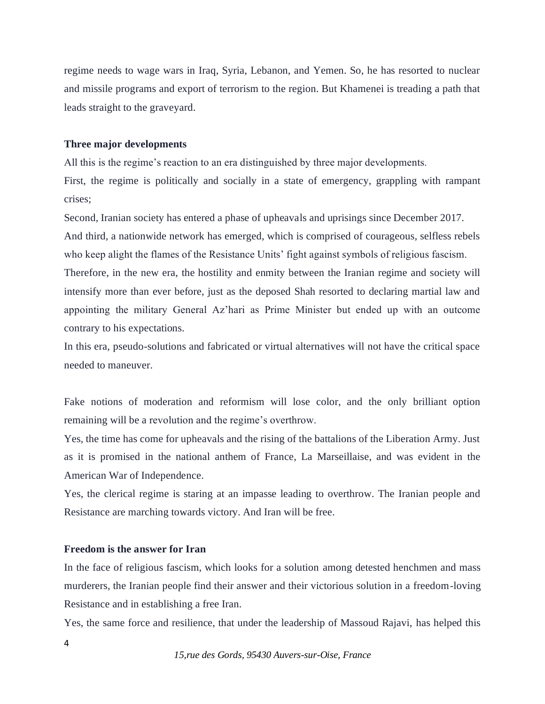regime needs to wage wars in Iraq, Syria, Lebanon, and Yemen. So, he has resorted to nuclear and missile programs and export of terrorism to the region. But Khamenei is treading a path that leads straight to the graveyard.

#### **Three major developments**

All this is the regime's reaction to an era distinguished by three major developments.

First, the regime is politically and socially in a state of emergency, grappling with rampant crises;

Second, Iranian society has entered a phase of upheavals and uprisings since December 2017. And third, a nationwide network has emerged, which is comprised of courageous, selfless rebels who keep alight the flames of the Resistance Units' fight against symbols of religious fascism.

Therefore, in the new era, the hostility and enmity between the Iranian regime and society will intensify more than ever before, just as the deposed Shah resorted to declaring martial law and appointing the military General Az'hari as Prime Minister but ended up with an outcome contrary to his expectations.

In this era, pseudo-solutions and fabricated or virtual alternatives will not have the critical space needed to maneuver.

Fake notions of moderation and reformism will lose color, and the only brilliant option remaining will be a revolution and the regime's overthrow.

Yes, the time has come for upheavals and the rising of the battalions of the Liberation Army. Just as it is promised in the national anthem of France, La Marseillaise, and was evident in the American War of Independence.

Yes, the clerical regime is staring at an impasse leading to overthrow. The Iranian people and Resistance are marching towards victory. And Iran will be free.

## **Freedom is the answer for Iran**

In the face of religious fascism, which looks for a solution among detested henchmen and mass murderers, the Iranian people find their answer and their victorious solution in a freedom-loving Resistance and in establishing a free Iran.

Yes, the same force and resilience, that under the leadership of Massoud Rajavi, has helped this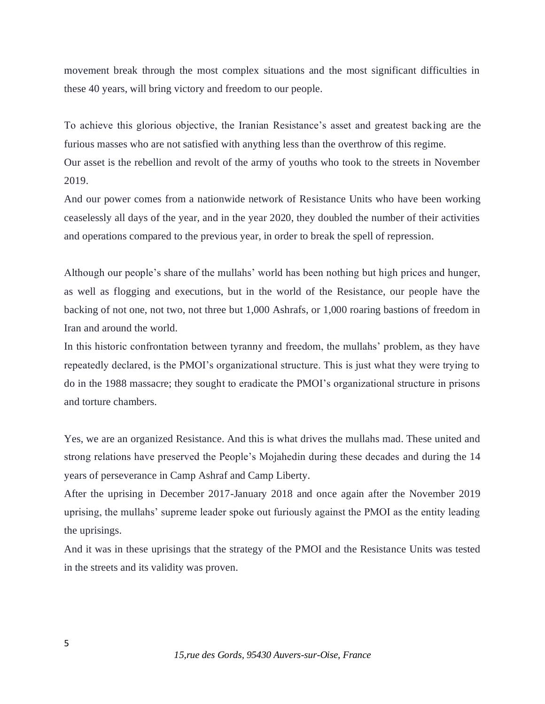movement break through the most complex situations and the most significant difficulties in these 40 years, will bring victory and freedom to our people.

To achieve this glorious objective, the Iranian Resistance's asset and greatest backing are the furious masses who are not satisfied with anything less than the overthrow of this regime.

Our asset is the rebellion and revolt of the army of youths who took to the streets in November 2019.

And our power comes from a nationwide network of Resistance Units who have been working ceaselessly all days of the year, and in the year 2020, they doubled the number of their activities and operations compared to the previous year, in order to break the spell of repression.

Although our people's share of the mullahs' world has been nothing but high prices and hunger, as well as flogging and executions, but in the world of the Resistance, our people have the backing of not one, not two, not three but 1,000 Ashrafs, or 1,000 roaring bastions of freedom in Iran and around the world.

In this historic confrontation between tyranny and freedom, the mullahs' problem, as they have repeatedly declared, is the PMOI's organizational structure. This is just what they were trying to do in the 1988 massacre; they sought to eradicate the PMOI's organizational structure in prisons and torture chambers.

Yes, we are an organized Resistance. And this is what drives the mullahs mad. These united and strong relations have preserved the People's Mojahedin during these decades and during the 14 years of perseverance in Camp Ashraf and Camp Liberty.

After the uprising in December 2017-January 2018 and once again after the November 2019 uprising, the mullahs' supreme leader spoke out furiously against the PMOI as the entity leading the uprisings.

And it was in these uprisings that the strategy of the PMOI and the Resistance Units was tested in the streets and its validity was proven.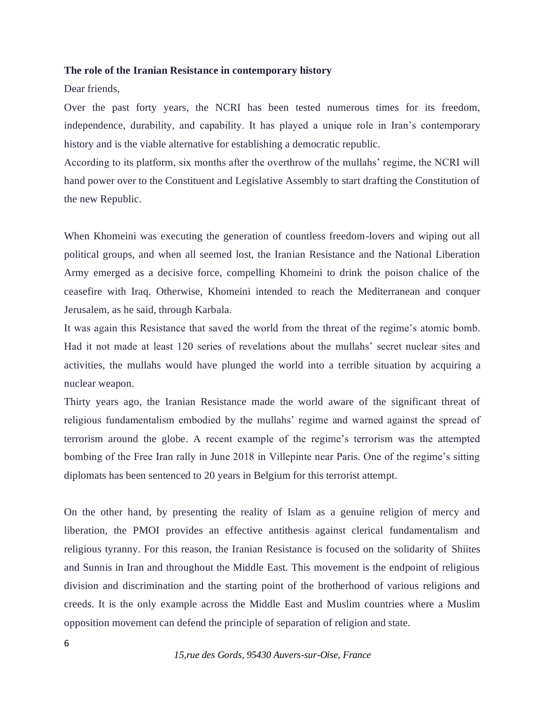#### **The role of the Iranian Resistance in contemporary history**

Dear friends,

Over the past forty years, the NCRI has been tested numerous times for its freedom, independence, durability, and capability. It has played a unique role in Iran's contemporary history and is the viable alternative for establishing a democratic republic.

According to its platform, six months after the overthrow of the mullahs' regime, the NCRI will hand power over to the Constituent and Legislative Assembly to start drafting the Constitution of the new Republic.

When Khomeini was executing the generation of countless freedom-lovers and wiping out all political groups, and when all seemed lost, the Iranian Resistance and the National Liberation Army emerged as a decisive force, compelling Khomeini to drink the poison chalice of the ceasefire with Iraq. Otherwise, Khomeini intended to reach the Mediterranean and conquer Jerusalem, as he said, through Karbala.

It was again this Resistance that saved the world from the threat of the regime's atomic bomb. Had it not made at least 120 series of revelations about the mullahs' secret nuclear sites and activities, the mullahs would have plunged the world into a terrible situation by acquiring a nuclear weapon.

Thirty years ago, the Iranian Resistance made the world aware of the significant threat of religious fundamentalism embodied by the mullahs' regime and warned against the spread of terrorism around the globe. A recent example of the regime's terrorism was the attempted bombing of the Free Iran rally in June 2018 in Villepinte near Paris. One of the regime's sitting diplomats has been sentenced to 20 years in Belgium for this terrorist attempt.

On the other hand, by presenting the reality of Islam as a genuine religion of mercy and liberation, the PMOI provides an effective antithesis against clerical fundamentalism and religious tyranny. For this reason, the Iranian Resistance is focused on the solidarity of Shiites and Sunnis in Iran and throughout the Middle East. This movement is the endpoint of religious division and discrimination and the starting point of the brotherhood of various religions and creeds. It is the only example across the Middle East and Muslim countries where a Muslim opposition movement can defend the principle of separation of religion and state.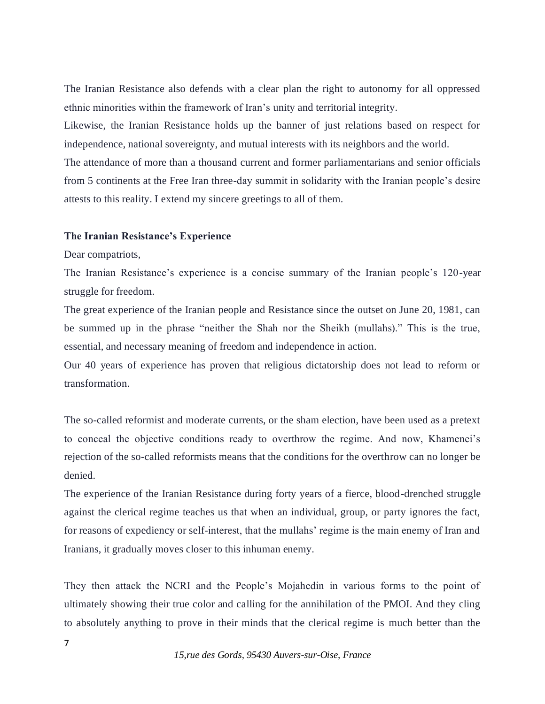The Iranian Resistance also defends with a clear plan the right to autonomy for all oppressed ethnic minorities within the framework of Iran's unity and territorial integrity.

Likewise, the Iranian Resistance holds up the banner of just relations based on respect for independence, national sovereignty, and mutual interests with its neighbors and the world.

The attendance of more than a thousand current and former parliamentarians and senior officials from 5 continents at the Free Iran three-day summit in solidarity with the Iranian people's desire attests to this reality. I extend my sincere greetings to all of them.

#### **The Iranian Resistance's Experience**

Dear compatriots,

The Iranian Resistance's experience is a concise summary of the Iranian people's 120-year struggle for freedom.

The great experience of the Iranian people and Resistance since the outset on June 20, 1981, can be summed up in the phrase "neither the Shah nor the Sheikh (mullahs)." This is the true, essential, and necessary meaning of freedom and independence in action.

Our 40 years of experience has proven that religious dictatorship does not lead to reform or transformation.

The so-called reformist and moderate currents, or the sham election, have been used as a pretext to conceal the objective conditions ready to overthrow the regime. And now, Khamenei's rejection of the so-called reformists means that the conditions for the overthrow can no longer be denied.

The experience of the Iranian Resistance during forty years of a fierce, blood-drenched struggle against the clerical regime teaches us that when an individual, group, or party ignores the fact, for reasons of expediency or self-interest, that the mullahs' regime is the main enemy of Iran and Iranians, it gradually moves closer to this inhuman enemy.

They then attack the NCRI and the People's Mojahedin in various forms to the point of ultimately showing their true color and calling for the annihilation of the PMOI. And they cling to absolutely anything to prove in their minds that the clerical regime is much better than the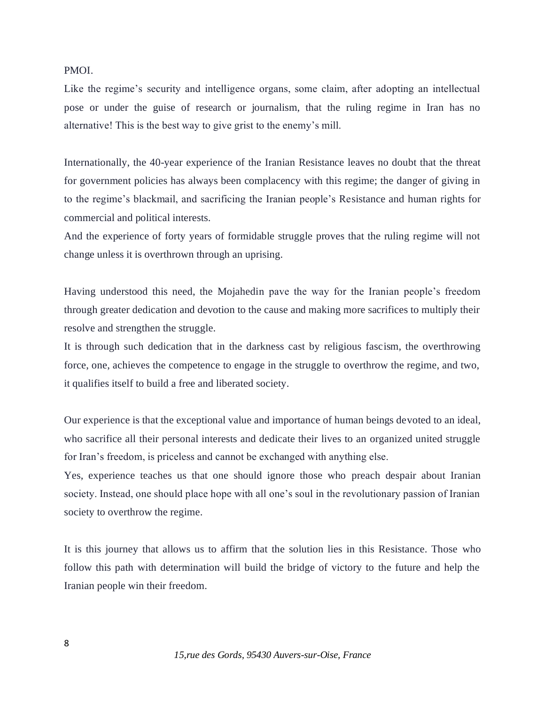## PMOI.

Like the regime's security and intelligence organs, some claim, after adopting an intellectual pose or under the guise of research or journalism, that the ruling regime in Iran has no alternative! This is the best way to give grist to the enemy's mill.

Internationally, the 40-year experience of the Iranian Resistance leaves no doubt that the threat for government policies has always been complacency with this regime; the danger of giving in to the regime's blackmail, and sacrificing the Iranian people's Resistance and human rights for commercial and political interests.

And the experience of forty years of formidable struggle proves that the ruling regime will not change unless it is overthrown through an uprising.

Having understood this need, the Mojahedin pave the way for the Iranian people's freedom through greater dedication and devotion to the cause and making more sacrifices to multiply their resolve and strengthen the struggle.

It is through such dedication that in the darkness cast by religious fascism, the overthrowing force, one, achieves the competence to engage in the struggle to overthrow the regime, and two, it qualifies itself to build a free and liberated society.

Our experience is that the exceptional value and importance of human beings devoted to an ideal, who sacrifice all their personal interests and dedicate their lives to an organized united struggle for Iran's freedom, is priceless and cannot be exchanged with anything else.

Yes, experience teaches us that one should ignore those who preach despair about Iranian society. Instead, one should place hope with all one's soul in the revolutionary passion of Iranian society to overthrow the regime.

It is this journey that allows us to affirm that the solution lies in this Resistance. Those who follow this path with determination will build the bridge of victory to the future and help the Iranian people win their freedom.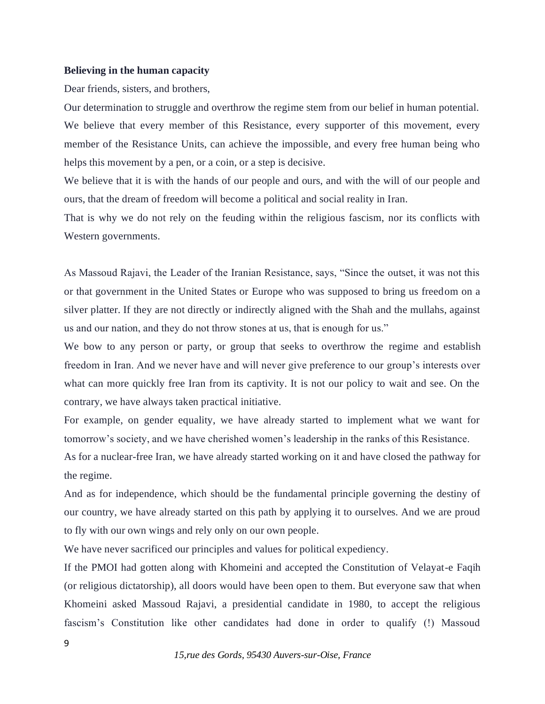#### **Believing in the human capacity**

Dear friends, sisters, and brothers,

Our determination to struggle and overthrow the regime stem from our belief in human potential. We believe that every member of this Resistance, every supporter of this movement, every member of the Resistance Units, can achieve the impossible, and every free human being who helps this movement by a pen, or a coin, or a step is decisive.

We believe that it is with the hands of our people and ours, and with the will of our people and ours, that the dream of freedom will become a political and social reality in Iran.

That is why we do not rely on the feuding within the religious fascism, nor its conflicts with Western governments.

As Massoud Rajavi, the Leader of the Iranian Resistance, says, "Since the outset, it was not this or that government in the United States or Europe who was supposed to bring us freedom on a silver platter. If they are not directly or indirectly aligned with the Shah and the mullahs, against us and our nation, and they do not throw stones at us, that is enough for us."

We bow to any person or party, or group that seeks to overthrow the regime and establish freedom in Iran. And we never have and will never give preference to our group's interests over what can more quickly free Iran from its captivity. It is not our policy to wait and see. On the contrary, we have always taken practical initiative.

For example, on gender equality, we have already started to implement what we want for tomorrow's society, and we have cherished women's leadership in the ranks of this Resistance.

As for a nuclear-free Iran, we have already started working on it and have closed the pathway for the regime.

And as for independence, which should be the fundamental principle governing the destiny of our country, we have already started on this path by applying it to ourselves. And we are proud to fly with our own wings and rely only on our own people.

We have never sacrificed our principles and values for political expediency.

If the PMOI had gotten along with Khomeini and accepted the Constitution of Velayat-e Faqih (or religious dictatorship), all doors would have been open to them. But everyone saw that when Khomeini asked Massoud Rajavi, a presidential candidate in 1980, to accept the religious fascism's Constitution like other candidates had done in order to qualify (!) Massoud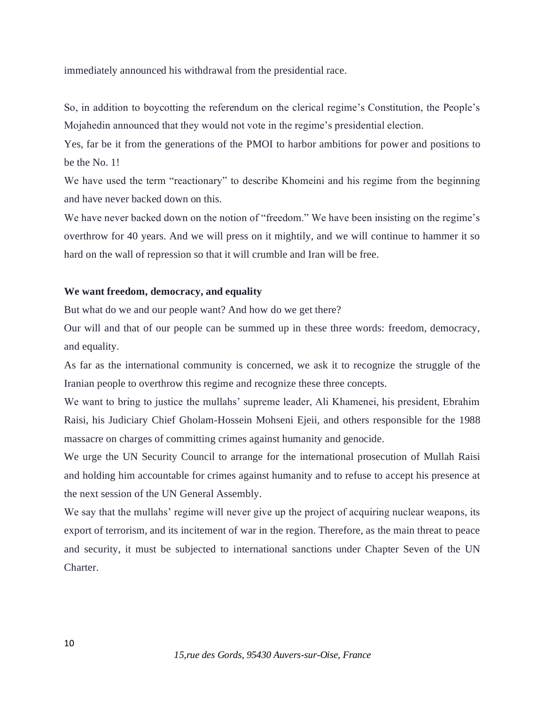immediately announced his withdrawal from the presidential race.

So, in addition to boycotting the referendum on the clerical regime's Constitution, the People's Mojahedin announced that they would not vote in the regime's presidential election.

Yes, far be it from the generations of the PMOI to harbor ambitions for power and positions to be the No. 1!

We have used the term "reactionary" to describe Khomeini and his regime from the beginning and have never backed down on this.

We have never backed down on the notion of "freedom." We have been insisting on the regime's overthrow for 40 years. And we will press on it mightily, and we will continue to hammer it so hard on the wall of repression so that it will crumble and Iran will be free.

## **We want freedom, democracy, and equality**

But what do we and our people want? And how do we get there?

Our will and that of our people can be summed up in these three words: freedom, democracy, and equality.

As far as the international community is concerned, we ask it to recognize the struggle of the Iranian people to overthrow this regime and recognize these three concepts.

We want to bring to justice the mullahs' supreme leader, Ali Khamenei, his president, Ebrahim Raisi, his Judiciary Chief Gholam-Hossein Mohseni Ejeii, and others responsible for the 1988 massacre on charges of committing crimes against humanity and genocide.

We urge the UN Security Council to arrange for the international prosecution of Mullah Raisi and holding him accountable for crimes against humanity and to refuse to accept his presence at the next session of the UN General Assembly.

We say that the mullahs' regime will never give up the project of acquiring nuclear weapons, its export of terrorism, and its incitement of war in the region. Therefore, as the main threat to peace and security, it must be subjected to international sanctions under Chapter Seven of the UN Charter.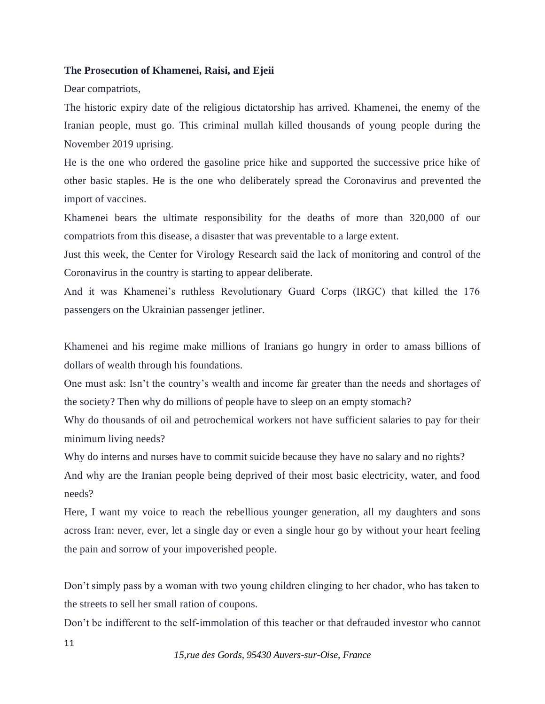## **The Prosecution of Khamenei, Raisi, and Ejeii**

Dear compatriots,

The historic expiry date of the religious dictatorship has arrived. Khamenei, the enemy of the Iranian people, must go. This criminal mullah killed thousands of young people during the November 2019 uprising.

He is the one who ordered the gasoline price hike and supported the successive price hike of other basic staples. He is the one who deliberately spread the Coronavirus and prevented the import of vaccines.

Khamenei bears the ultimate responsibility for the deaths of more than 320,000 of our compatriots from this disease, a disaster that was preventable to a large extent.

Just this week, the Center for Virology Research said the lack of monitoring and control of the Coronavirus in the country is starting to appear deliberate.

And it was Khamenei's ruthless Revolutionary Guard Corps (IRGC) that killed the 176 passengers on the Ukrainian passenger jetliner.

Khamenei and his regime make millions of Iranians go hungry in order to amass billions of dollars of wealth through his foundations.

One must ask: Isn't the country's wealth and income far greater than the needs and shortages of the society? Then why do millions of people have to sleep on an empty stomach?

Why do thousands of oil and petrochemical workers not have sufficient salaries to pay for their minimum living needs?

Why do interns and nurses have to commit suicide because they have no salary and no rights? And why are the Iranian people being deprived of their most basic electricity, water, and food needs?

Here, I want my voice to reach the rebellious younger generation, all my daughters and sons across Iran: never, ever, let a single day or even a single hour go by without your heart feeling the pain and sorrow of your impoverished people.

Don't simply pass by a woman with two young children clinging to her chador, who has taken to the streets to sell her small ration of coupons.

Don't be indifferent to the self-immolation of this teacher or that defrauded investor who cannot